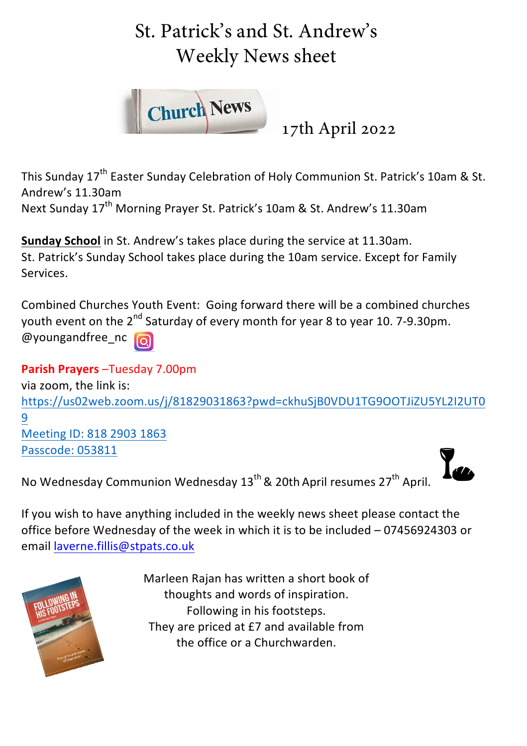# St. Patrick's and St. Andrew's Weekly News sheet



17th April 2022

This Sunday 17<sup>th</sup> Easter Sunday Celebration of Holy Communion St. Patrick's 10am & St. Andrew's 11.30am Next Sunday 17<sup>th</sup> Morning Prayer St. Patrick's 10am & St. Andrew's 11.30am

**Sunday School** in St. Andrew's takes place during the service at 11.30am. St. Patrick's Sunday School takes place during the 10am service. Except for Family Services. 

Combined Churches Youth Event: Going forward there will be a combined churches youth event on the 2<sup>nd</sup> Saturday of every month for year 8 to year 10. 7-9.30pm. @youngandfree\_nc

**Parish Prayers** –Tuesday 7.00pm via zoom, the link is: https://us02web.zoom.us/j/81829031863?pwd=ckhuSjB0VDU1TG9OOTJiZU5YL2I2UT0 9 Meeting ID: 818 2903 1863 Passcode: 053811

No Wednesday Communion Wednesday 13<sup>th</sup> & 20th April resumes 27<sup>th</sup> April.



If you wish to have anything included in the weekly news sheet please contact the office before Wednesday of the week in which it is to be included - 07456924303 or email laverne.fillis@stpats.co.uk



Marleen Rajan has written a short book of thoughts and words of inspiration. Following in his footsteps. They are priced at £7 and available from the office or a Churchwarden